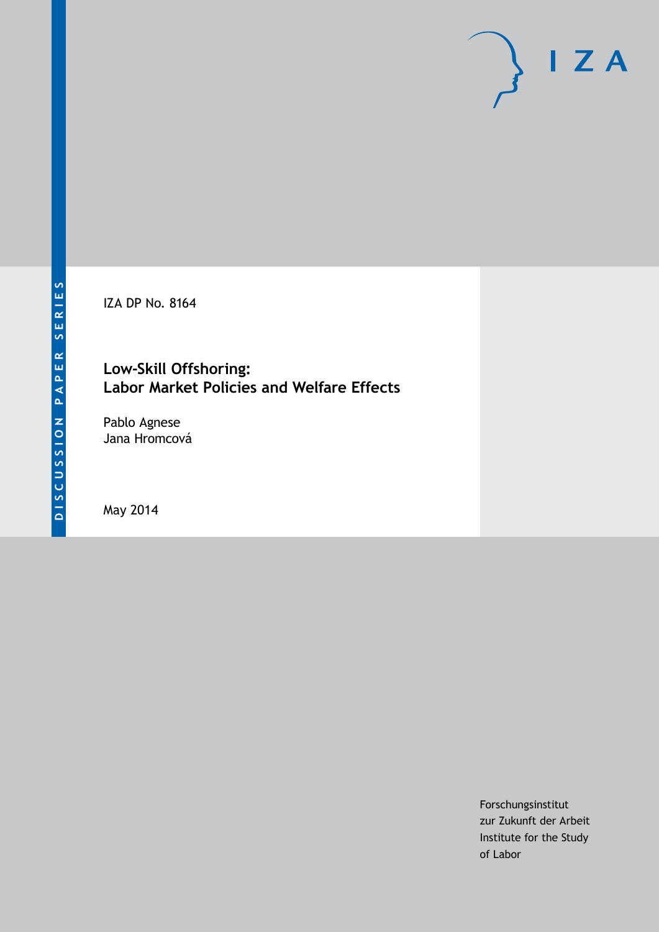IZA DP No. 8164

### **Low-Skill Offshoring: Labor Market Policies and Welfare Effects**

Pablo Agnese Jana Hromcová

May 2014

Forschungsinstitut zur Zukunft der Arbeit Institute for the Study of Labor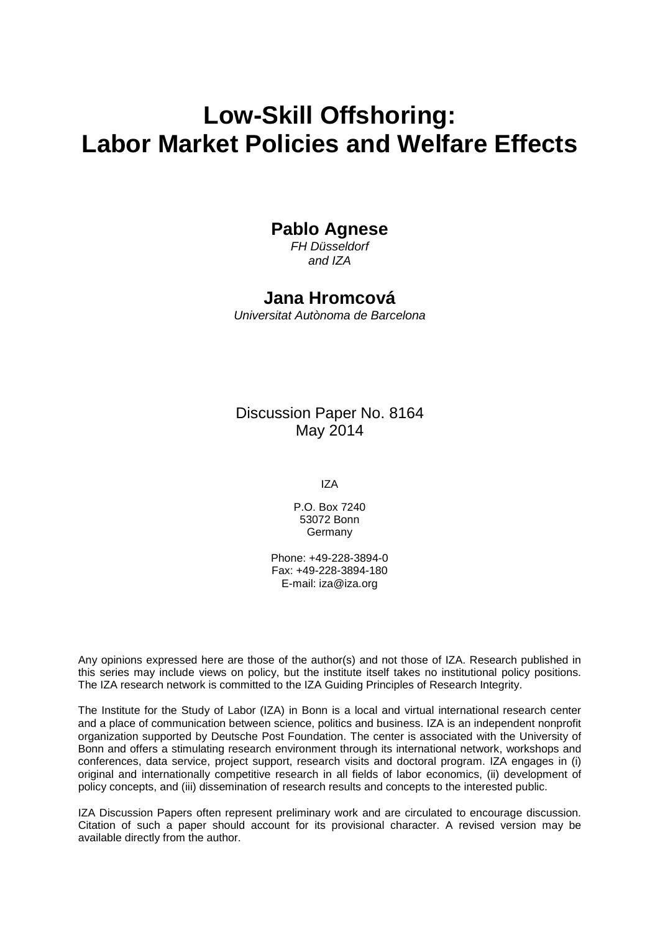# **Low-Skill Offshoring: Labor Market Policies and Welfare Effects**

## **Pablo Agnese**

*FH Düsseldorf and IZA*

#### **Jana Hromcová**

*Universitat Autònoma de Barcelona*

Discussion Paper No. 8164 May 2014

IZA

P.O. Box 7240 53072 Bonn **Germany** 

Phone: +49-228-3894-0 Fax: +49-228-3894-180 E-mail: [iza@iza.org](mailto:iza@iza.org)

Any opinions expressed here are those of the author(s) and not those of IZA. Research published in this series may include views on policy, but the institute itself takes no institutional policy positions. The IZA research network is committed to the IZA Guiding Principles of Research Integrity.

The Institute for the Study of Labor (IZA) in Bonn is a local and virtual international research center and a place of communication between science, politics and business. IZA is an independent nonprofit organization supported by Deutsche Post Foundation. The center is associated with the University of Bonn and offers a stimulating research environment through its international network, workshops and conferences, data service, project support, research visits and doctoral program. IZA engages in (i) original and internationally competitive research in all fields of labor economics, (ii) development of policy concepts, and (iii) dissemination of research results and concepts to the interested public.

<span id="page-1-0"></span>IZA Discussion Papers often represent preliminary work and are circulated to encourage discussion. Citation of such a paper should account for its provisional character. A revised version may be available directly from the author.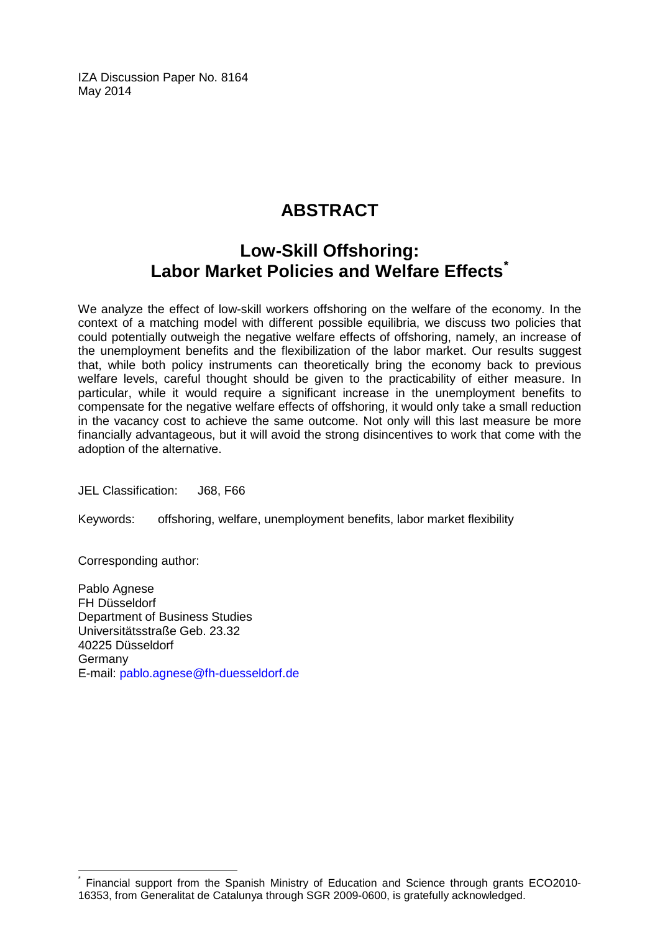IZA Discussion Paper No. 8164 May 2014

# **ABSTRACT**

# **Low-Skill Offshoring: Labor Market Policies and Welfare Effects[\\*](#page-1-0)**

We analyze the effect of low-skill workers offshoring on the welfare of the economy. In the context of a matching model with different possible equilibria, we discuss two policies that could potentially outweigh the negative welfare effects of offshoring, namely, an increase of the unemployment benefits and the flexibilization of the labor market. Our results suggest that, while both policy instruments can theoretically bring the economy back to previous welfare levels, careful thought should be given to the practicability of either measure. In particular, while it would require a significant increase in the unemployment benefits to compensate for the negative welfare effects of offshoring, it would only take a small reduction in the vacancy cost to achieve the same outcome. Not only will this last measure be more financially advantageous, but it will avoid the strong disincentives to work that come with the adoption of the alternative.

JEL Classification: J68, F66

Keywords: offshoring, welfare, unemployment benefits, labor market flexibility

Corresponding author:

Pablo Agnese FH Düsseldorf Department of Business Studies Universitätsstraße Geb. 23.32 40225 Düsseldorf Germany E-mail: [pablo.agnese@fh-duesseldorf.de](mailto:pablo.agnese@fh-duesseldorf.de)

Financial support from the Spanish Ministry of Education and Science through grants ECO2010-16353, from Generalitat de Catalunya through SGR 2009-0600, is gratefully acknowledged.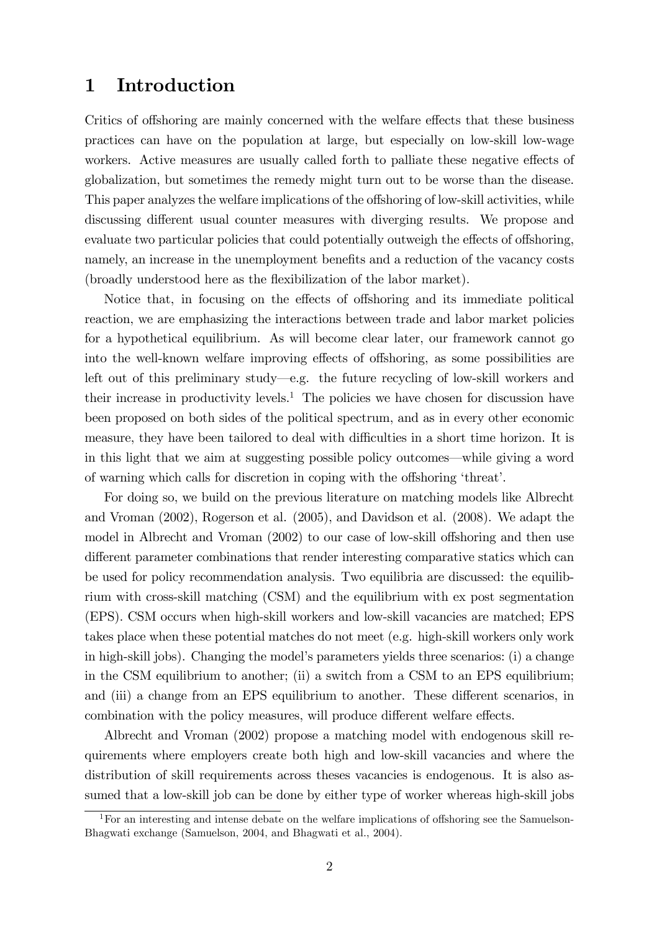# 1 Introduction

Critics of offshoring are mainly concerned with the welfare effects that these business practices can have on the population at large, but especially on low-skill low-wage workers. Active measures are usually called forth to palliate these negative effects of globalization, but sometimes the remedy might turn out to be worse than the disease. This paper analyzes the welfare implications of the offshoring of low-skill activities, while discussing different usual counter measures with diverging results. We propose and evaluate two particular policies that could potentially outweigh the effects of offshoring, namely, an increase in the unemployment benefits and a reduction of the vacancy costs (broadly understood here as the flexibilization of the labor market).

Notice that, in focusing on the effects of offshoring and its immediate political reaction, we are emphasizing the interactions between trade and labor market policies for a hypothetical equilibrium. As will become clear later, our framework cannot go into the well-known welfare improving effects of offshoring, as some possibilities are left out of this preliminary study—e.g. the future recycling of low-skill workers and their increase in productivity levels.<sup>1</sup> The policies we have chosen for discussion have been proposed on both sides of the political spectrum, and as in every other economic measure, they have been tailored to deal with difficulties in a short time horizon. It is in this light that we aim at suggesting possible policy outcomes—while giving a word of warning which calls for discretion in coping with the offshoring 'threat'.

For doing so, we build on the previous literature on matching models like Albrecht and Vroman (2002), Rogerson et al. (2005), and Davidson et al. (2008). We adapt the model in Albrecht and Vroman (2002) to our case of low-skill offshoring and then use different parameter combinations that render interesting comparative statics which can be used for policy recommendation analysis. Two equilibria are discussed: the equilibrium with cross-skill matching (CSM) and the equilibrium with ex post segmentation (EPS). CSM occurs when high-skill workers and low-skill vacancies are matched; EPS takes place when these potential matches do not meet (e.g. high-skill workers only work in high-skill jobs). Changing the model's parameters yields three scenarios: (i) a change in the CSM equilibrium to another; (ii) a switch from a CSM to an EPS equilibrium; and (iii) a change from an EPS equilibrium to another. These different scenarios, in combination with the policy measures, will produce different welfare effects.

Albrecht and Vroman (2002) propose a matching model with endogenous skill requirements where employers create both high and low-skill vacancies and where the distribution of skill requirements across theses vacancies is endogenous. It is also assumed that a low-skill job can be done by either type of worker whereas high-skill jobs

<sup>&</sup>lt;sup>1</sup>For an interesting and intense debate on the welfare implications of offshoring see the Samuelson-Bhagwati exchange (Samuelson, 2004, and Bhagwati et al., 2004).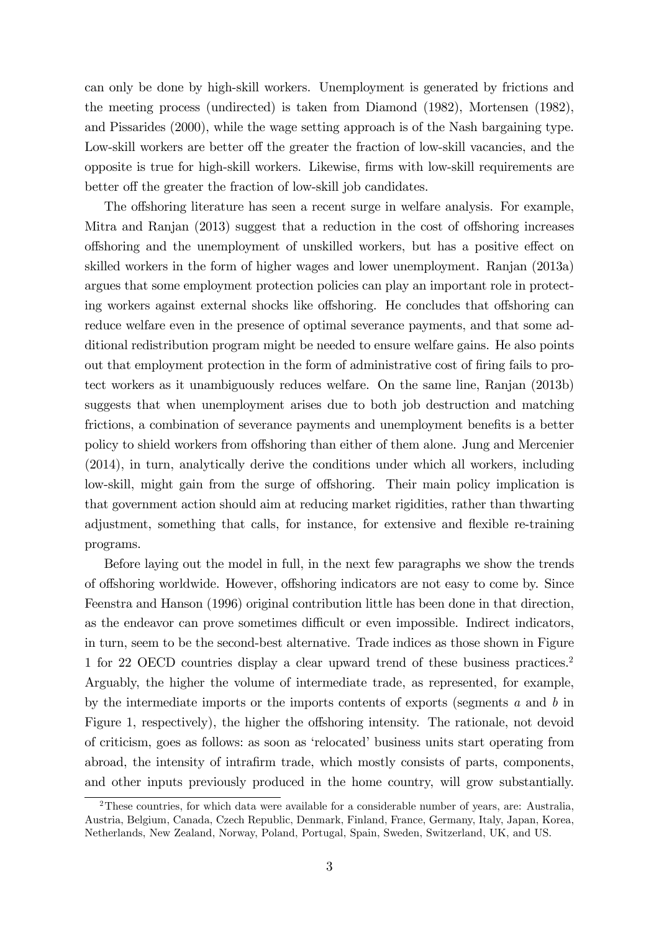can only be done by high-skill workers. Unemployment is generated by frictions and the meeting process (undirected) is taken from Diamond (1982), Mortensen (1982), and Pissarides (2000), while the wage setting approach is of the Nash bargaining type. Low-skill workers are better off the greater the fraction of low-skill vacancies, and the opposite is true for high-skill workers. Likewise, Örms with low-skill requirements are better off the greater the fraction of low-skill job candidates.

The offshoring literature has seen a recent surge in welfare analysis. For example, Mitra and Ranjan  $(2013)$  suggest that a reduction in the cost of offshoring increases offshoring and the unemployment of unskilled workers, but has a positive effect on skilled workers in the form of higher wages and lower unemployment. Ranjan (2013a) argues that some employment protection policies can play an important role in protecting workers against external shocks like offshoring. He concludes that offshoring can reduce welfare even in the presence of optimal severance payments, and that some additional redistribution program might be needed to ensure welfare gains. He also points out that employment protection in the form of administrative cost of firing fails to protect workers as it unambiguously reduces welfare. On the same line, Ranjan (2013b) suggests that when unemployment arises due to both job destruction and matching frictions, a combination of severance payments and unemployment benefits is a better policy to shield workers from offshoring than either of them alone. Jung and Mercenier (2014), in turn, analytically derive the conditions under which all workers, including low-skill, might gain from the surge of offshoring. Their main policy implication is that government action should aim at reducing market rigidities, rather than thwarting adjustment, something that calls, for instance, for extensive and flexible re-training programs.

Before laying out the model in full, in the next few paragraphs we show the trends of offshoring worldwide. However, offshoring indicators are not easy to come by. Since Feenstra and Hanson (1996) original contribution little has been done in that direction, as the endeavor can prove sometimes difficult or even impossible. Indirect indicators, in turn, seem to be the second-best alternative. Trade indices as those shown in Figure 1 for 22 OECD countries display a clear upward trend of these business practices.<sup>2</sup> Arguably, the higher the volume of intermediate trade, as represented, for example, by the intermediate imports or the imports contents of exports (segments  $a$  and  $b$  in Figure 1, respectively), the higher the offshoring intensity. The rationale, not devoid of criticism, goes as follows: as soon as 'relocated' business units start operating from abroad, the intensity of intrafirm trade, which mostly consists of parts, components, and other inputs previously produced in the home country, will grow substantially.

<sup>2</sup>These countries, for which data were available for a considerable number of years, are: Australia, Austria, Belgium, Canada, Czech Republic, Denmark, Finland, France, Germany, Italy, Japan, Korea, Netherlands, New Zealand, Norway, Poland, Portugal, Spain, Sweden, Switzerland, UK, and US.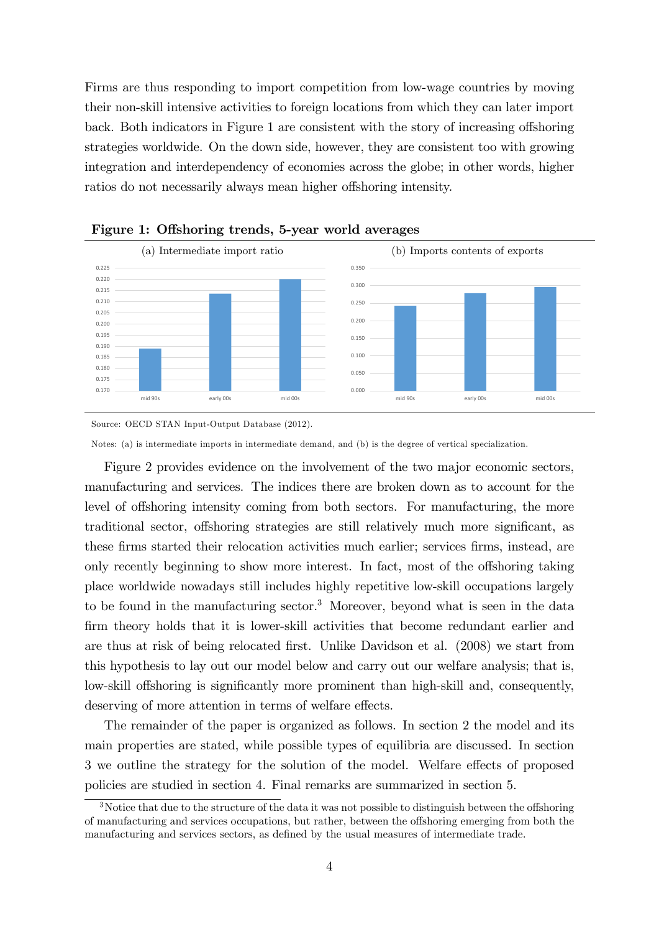Firms are thus responding to import competition from low-wage countries by moving their non-skill intensive activities to foreign locations from which they can later import back. Both indicators in Figure 1 are consistent with the story of increasing offshoring strategies worldwide. On the down side, however, they are consistent too with growing integration and interdependency of economies across the globe; in other words, higher ratios do not necessarily always mean higher offshoring intensity.





Source: OECD STAN Input-Output Database (2012).

Notes: (a) is intermediate imports in intermediate demand, and (b) is the degree of vertical specialization.

Figure 2 provides evidence on the involvement of the two major economic sectors, manufacturing and services. The indices there are broken down as to account for the level of offshoring intensity coming from both sectors. For manufacturing, the more traditional sector, offshoring strategies are still relatively much more significant, as these firms started their relocation activities much earlier; services firms, instead, are only recently beginning to show more interest. In fact, most of the offshoring taking place worldwide nowadays still includes highly repetitive low-skill occupations largely to be found in the manufacturing sector.<sup>3</sup> Moreover, beyond what is seen in the data firm theory holds that it is lower-skill activities that become redundant earlier and are thus at risk of being relocated first. Unlike Davidson et al. (2008) we start from this hypothesis to lay out our model below and carry out our welfare analysis; that is, low-skill offshoring is significantly more prominent than high-skill and, consequently, deserving of more attention in terms of welfare effects.

The remainder of the paper is organized as follows. In section 2 the model and its main properties are stated, while possible types of equilibria are discussed. In section 3 we outline the strategy for the solution of the model. Welfare effects of proposed policies are studied in section 4. Final remarks are summarized in section 5.

 $3$ Notice that due to the structure of the data it was not possible to distinguish between the offshoring of manufacturing and services occupations, but rather, between the offshoring emerging from both the manufacturing and services sectors, as defined by the usual measures of intermediate trade.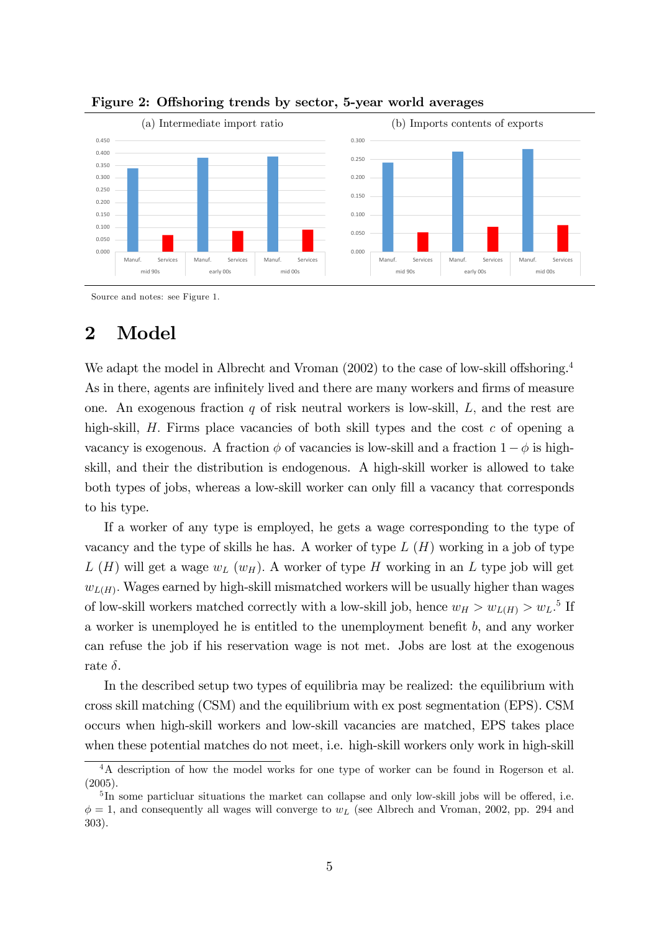



Source and notes: see Figure 1.

# 2 Model

We adapt the model in Albrecht and Vroman  $(2002)$  to the case of low-skill offshoring.<sup>4</sup> As in there, agents are infinitely lived and there are many workers and firms of measure one. An exogenous fraction q of risk neutral workers is low-skill,  $L$ , and the rest are high-skill,  $H$ . Firms place vacancies of both skill types and the cost  $c$  of opening a vacancy is exogenous. A fraction  $\phi$  of vacancies is low-skill and a fraction  $1-\phi$  is highskill, and their the distribution is endogenous. A high-skill worker is allowed to take both types of jobs, whereas a low-skill worker can only fill a vacancy that corresponds to his type.

If a worker of any type is employed, he gets a wage corresponding to the type of vacancy and the type of skills he has. A worker of type  $L(H)$  working in a job of type L (H) will get a wage  $w_L(w_H)$ . A worker of type H working in an L type job will get  $w_{L(H)}$ . Wages earned by high-skill mismatched workers will be usually higher than wages of low-skill workers matched correctly with a low-skill job, hence  $w_H > w_{L(H)} > w_L$ <sup>5</sup> If a worker is unemployed he is entitled to the unemployment benefit  $b$ , and any worker can refuse the job if his reservation wage is not met. Jobs are lost at the exogenous rate  $\delta$ .

In the described setup two types of equilibria may be realized: the equilibrium with cross skill matching (CSM) and the equilibrium with ex post segmentation (EPS). CSM occurs when high-skill workers and low-skill vacancies are matched, EPS takes place when these potential matches do not meet, i.e. high-skill workers only work in high-skill

<sup>&</sup>lt;sup>4</sup>A description of how the model works for one type of worker can be found in Rogerson et al. (2005).

 ${}^{5}$ In some particluar situations the market can collapse and only low-skill jobs will be offered, i.e.  $\phi = 1$ , and consequently all wages will converge to  $w_L$  (see Albrech and Vroman, 2002, pp. 294 and 303).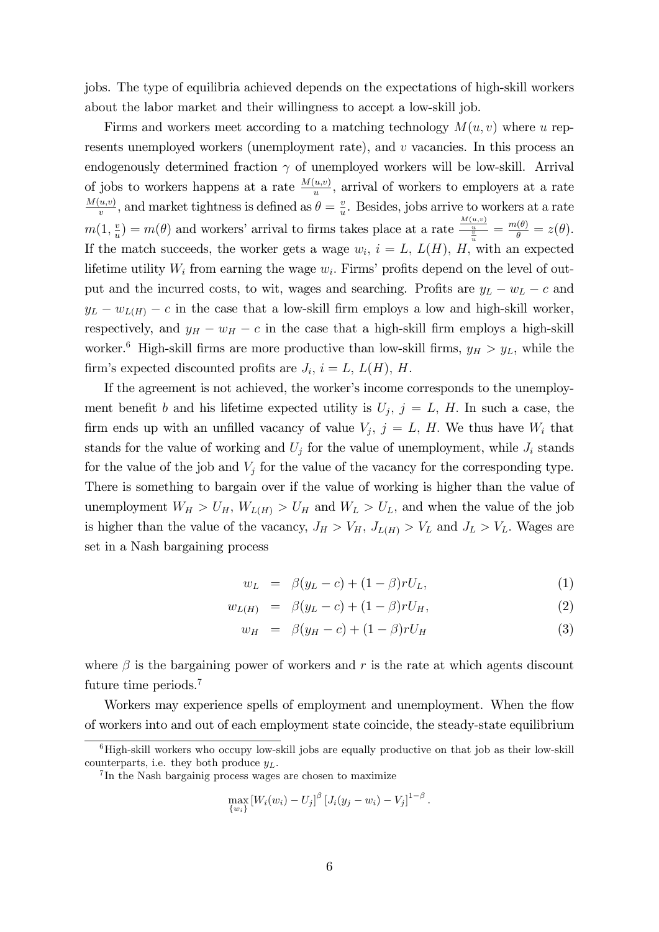jobs. The type of equilibria achieved depends on the expectations of high-skill workers about the labor market and their willingness to accept a low-skill job.

Firms and workers meet according to a matching technology  $M(u, v)$  where u represents unemployed workers (unemployment rate), and v vacancies. In this process an endogenously determined fraction  $\gamma$  of unemployed workers will be low-skill. Arrival of jobs to workers happens at a rate  $\frac{M(u,v)}{u}$ , arrival of workers to employers at a rate  $M(u,v)$  $\frac{u,v}{v}$ , and market tightness is defined as  $\theta = \frac{v}{u}$  $\frac{v}{u}$ . Besides, jobs arrive to workers at a rate  $m(1,\frac{v}{w})$  $\frac{v}{u}$ ) =  $m(\theta)$  and workers' arrival to firms takes place at a rate  $\frac{\frac{M(u,v)}{u}}{\frac{v}{u}} = \frac{m(\theta)}{\theta} = z(\theta)$ . If the match succeeds, the worker gets a wage  $w_i$ ,  $i = L$ ,  $L(H)$ , H, with an expected lifetime utility  $W_i$  from earning the wage  $w_i$ . Firms' profits depend on the level of output and the incurred costs, to wit, wages and searching. Profits are  $y_L - w_L - c$  and  $y_L - w_{L(H)} - c$  in the case that a low-skill firm employs a low and high-skill worker, respectively, and  $y_H - w_H - c$  in the case that a high-skill firm employs a high-skill worker.<sup>6</sup> High-skill firms are more productive than low-skill firms,  $y_H > y_L$ , while the firm's expected discounted profits are  $J_i$ ,  $i = L$ ,  $L(H)$ ,  $H$ .

If the agreement is not achieved, the worker's income corresponds to the unemployment benefit b and his lifetime expected utility is  $U_j$ ,  $j = L$ , H. In such a case, the firm ends up with an unfilled vacancy of value  $V_j$ ,  $j = L$ , H. We thus have  $W_i$  that stands for the value of working and  $U_j$  for the value of unemployment, while  $J_i$  stands for the value of the job and  $V_j$  for the value of the vacancy for the corresponding type. There is something to bargain over if the value of working is higher than the value of unemployment  $W_H > U_H$ ,  $W_{L(H)} > U_H$  and  $W_L > U_L$ , and when the value of the job is higher than the value of the vacancy,  $J_H > V_H$ ,  $J_{L(H)} > V_L$  and  $J_L > V_L$ . Wages are set in a Nash bargaining process

$$
w_L = \beta(y_L - c) + (1 - \beta)rU_L, \tag{1}
$$

$$
w_{L(H)} = \beta(y_L - c) + (1 - \beta)rU_H, \tag{2}
$$

$$
w_H = \beta(y_H - c) + (1 - \beta)rU_H \tag{3}
$$

where  $\beta$  is the bargaining power of workers and r is the rate at which agents discount future time periods.<sup>7</sup>

Workers may experience spells of employment and unemployment. When the flow of workers into and out of each employment state coincide, the steady-state equilibrium

$$
\max_{\{w_i\}} [W_i(w_i) - U_j]^{\beta} [J_i(y_j - w_i) - V_j]^{1-\beta}.
$$

 $6$ High-skill workers who occupy low-skill jobs are equally productive on that job as their low-skill counterparts, i.e. they both produce  $y_L$ .

<sup>&</sup>lt;sup>7</sup>In the Nash bargainig process wages are chosen to maximize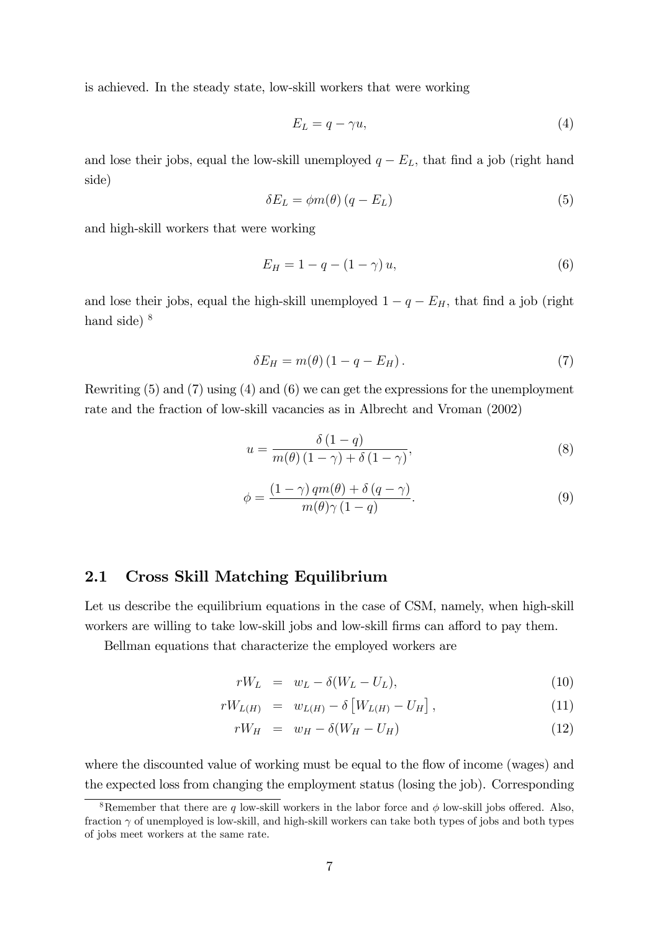is achieved. In the steady state, low-skill workers that were working

$$
E_L = q - \gamma u,\tag{4}
$$

and lose their jobs, equal the low-skill unemployed  $q - E_L$ , that find a job (right hand side)

$$
\delta E_L = \phi m(\theta) (q - E_L) \tag{5}
$$

and high-skill workers that were working

$$
E_H = 1 - q - (1 - \gamma) u,
$$
\n(6)

and lose their jobs, equal the high-skill unemployed  $1 - q - E_H$ , that find a job (right hand side)  $8$ 

$$
\delta E_H = m(\theta) \left( 1 - q - E_H \right). \tag{7}
$$

Rewriting (5) and (7) using (4) and (6) we can get the expressions for the unemployment rate and the fraction of low-skill vacancies as in Albrecht and Vroman (2002)

$$
u = \frac{\delta(1-q)}{m(\theta)(1-\gamma) + \delta(1-\gamma)},
$$
\n(8)

$$
\phi = \frac{(1 - \gamma) q m(\theta) + \delta (q - \gamma)}{m(\theta) \gamma (1 - q)}.
$$
\n(9)

#### 2.1 Cross Skill Matching Equilibrium

Let us describe the equilibrium equations in the case of CSM, namely, when high-skill workers are willing to take low-skill jobs and low-skill firms can afford to pay them.

Bellman equations that characterize the employed workers are

$$
rW_L = w_L - \delta(W_L - U_L), \tag{10}
$$

$$
rW_{L(H)} = w_{L(H)} - \delta \left[ W_{L(H)} - U_H \right], \tag{11}
$$

$$
rW_H = w_H - \delta(W_H - U_H) \tag{12}
$$

where the discounted value of working must be equal to the flow of income (wages) and the expected loss from changing the employment status (losing the job). Corresponding

<sup>&</sup>lt;sup>8</sup>Remember that there are q low-skill workers in the labor force and  $\phi$  low-skill jobs offered. Also, fraction  $\gamma$  of unemployed is low-skill, and high-skill workers can take both types of jobs and both types of jobs meet workers at the same rate.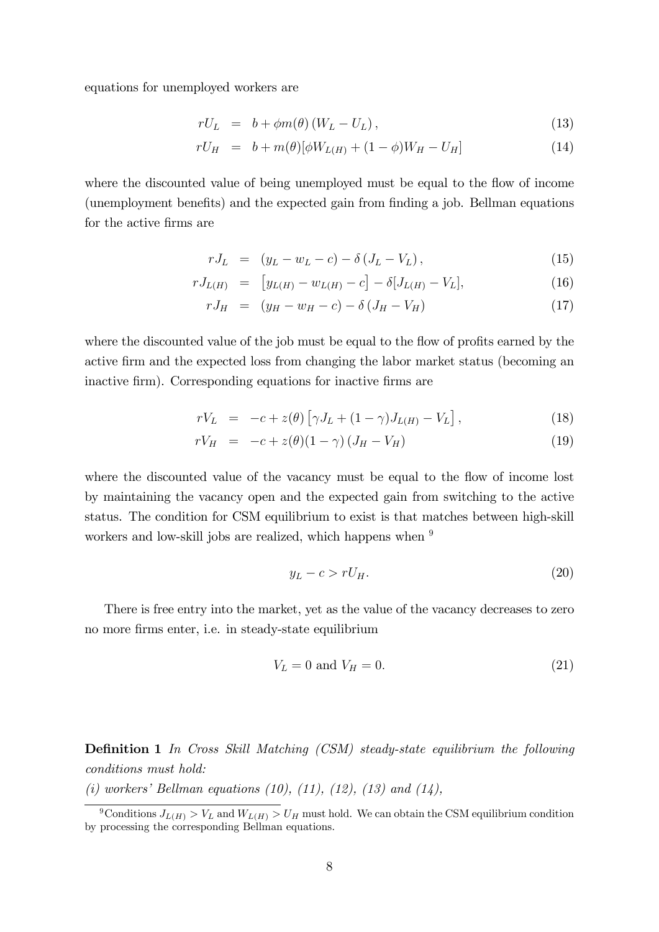equations for unemployed workers are

$$
rU_L = b + \phi m(\theta) (W_L - U_L), \qquad (13)
$$

$$
rU_H = b + m(\theta)[\phi W_{L(H)} + (1 - \phi)W_H - U_H]
$$
\n(14)

where the discounted value of being unemployed must be equal to the flow of income (unemployment benefits) and the expected gain from finding a job. Bellman equations for the active firms are

$$
rJ_L = (y_L - w_L - c) - \delta (J_L - V_L), \qquad (15)
$$

$$
rJ_{L(H)} = [y_{L(H)} - w_{L(H)} - c] - \delta[J_{L(H)} - V_L], \qquad (16)
$$

$$
rJ_H = (y_H - w_H - c) - \delta (J_H - V_H) \tag{17}
$$

where the discounted value of the job must be equal to the flow of profits earned by the active Örm and the expected loss from changing the labor market status (becoming an inactive firm). Corresponding equations for inactive firms are

$$
rV_L = -c + z(\theta) [\gamma J_L + (1 - \gamma) J_{L(H)} - V_L], \qquad (18)
$$

$$
rV_H = -c + z(\theta)(1 - \gamma) (J_H - V_H)
$$
\n(19)

where the discounted value of the vacancy must be equal to the flow of income lost by maintaining the vacancy open and the expected gain from switching to the active status. The condition for CSM equilibrium to exist is that matches between high-skill workers and low-skill jobs are realized, which happens when  $9$ 

$$
y_L - c > r U_H. \tag{20}
$$

There is free entry into the market, yet as the value of the vacancy decreases to zero no more firms enter, i.e. in steady-state equilibrium

$$
V_L = 0 \text{ and } V_H = 0. \tag{21}
$$

**Definition 1** In Cross Skill Matching (CSM) steady-state equilibrium the following conditions must hold:

(i) workers' Bellman equations (10), (11), (12), (13) and (14),

<sup>&</sup>lt;sup>9</sup>Conditions  $J_{L(H)} > V_L$  and  $W_{L(H)} > U_H$  must hold. We can obtain the CSM equilibrium condition by processing the corresponding Bellman equations.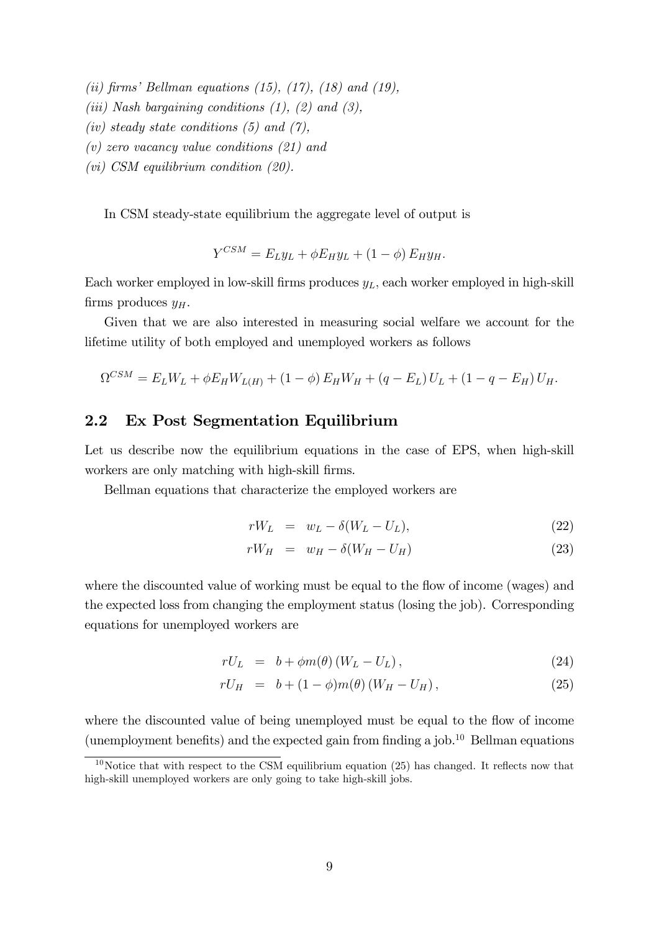- (ii) firms' Bellman equations (15), (17), (18) and (19),
- (iii) Nash bargaining conditions  $(1)$ ,  $(2)$  and  $(3)$ ,
- (iv) steady state conditions  $(5)$  and  $(7)$ ,
- (v) zero vacancy value conditions (21) and
- (vi) CSM equilibrium condition (20).

In CSM steady-state equilibrium the aggregate level of output is

$$
Y^{CSM} = E_L y_L + \phi E_H y_L + (1 - \phi) E_H y_H.
$$

Each worker employed in low-skill firms produces  $y_L$ , each worker employed in high-skill firms produces  $y_H$ .

Given that we are also interested in measuring social welfare we account for the lifetime utility of both employed and unemployed workers as follows

$$
\Omega^{CSM} = E_L W_L + \phi E_H W_{L(H)} + (1 - \phi) E_H W_H + (q - E_L) U_L + (1 - q - E_H) U_H.
$$

#### 2.2 Ex Post Segmentation Equilibrium

Let us describe now the equilibrium equations in the case of EPS, when high-skill workers are only matching with high-skill firms.

Bellman equations that characterize the employed workers are

$$
rW_L = w_L - \delta(W_L - U_L), \qquad (22)
$$

$$
rW_H = w_H - \delta(W_H - U_H) \tag{23}
$$

where the discounted value of working must be equal to the flow of income (wages) and the expected loss from changing the employment status (losing the job). Corresponding equations for unemployed workers are

$$
rU_L = b + \phi m(\theta) (W_L - U_L), \qquad (24)
$$

$$
rU_H = b + (1 - \phi)m(\theta) (W_H - U_H), \qquad (25)
$$

where the discounted value of being unemployed must be equal to the flow of income (unemployment benefits) and the expected gain from finding a job.<sup>10</sup> Bellman equations

<sup>&</sup>lt;sup>10</sup>Notice that with respect to the CSM equilibrium equation  $(25)$  has changed. It reflects now that high-skill unemployed workers are only going to take high-skill jobs.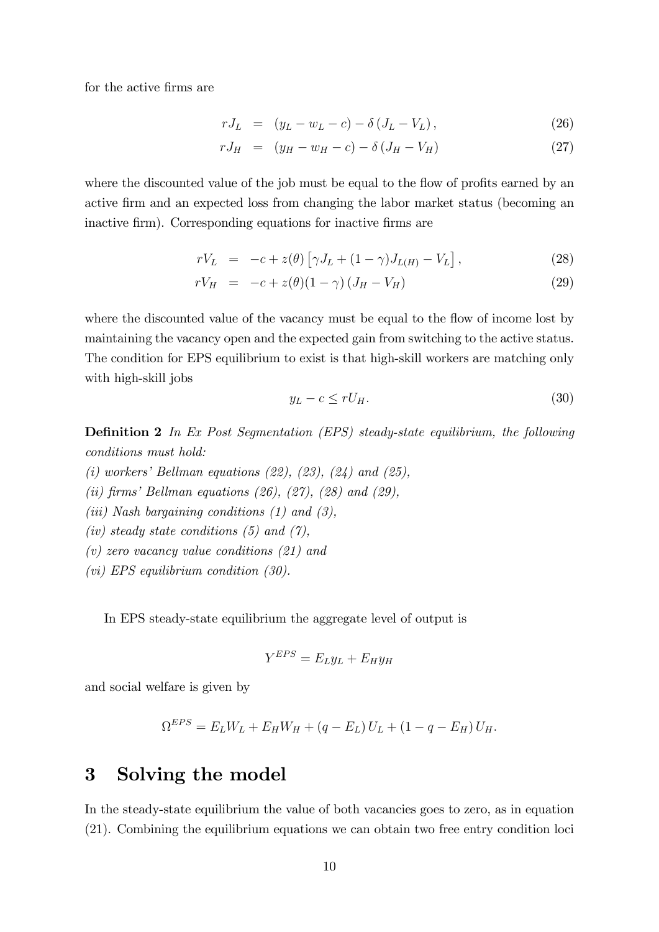for the active firms are

$$
rJ_L = (y_L - w_L - c) - \delta (J_L - V_L), \qquad (26)
$$

$$
rJ_H = (y_H - w_H - c) - \delta (J_H - V_H) \tag{27}
$$

where the discounted value of the job must be equal to the flow of profits earned by an active Örm and an expected loss from changing the labor market status (becoming an inactive firm). Corresponding equations for inactive firms are

$$
rV_L = -c + z(\theta) [\gamma J_L + (1 - \gamma) J_{L(H)} - V_L], \qquad (28)
$$

$$
rV_H = -c + z(\theta)(1 - \gamma)(J_H - V_H)
$$
\n(29)

where the discounted value of the vacancy must be equal to the flow of income lost by maintaining the vacancy open and the expected gain from switching to the active status. The condition for EPS equilibrium to exist is that high-skill workers are matching only with high-skill jobs

$$
y_L - c \le r U_H. \tag{30}
$$

**Definition 2** In Ex Post Segmentation (EPS) steady-state equilibrium, the following conditions must hold:

- (i) workers' Bellman equations  $(22)$ ,  $(23)$ ,  $(24)$  and  $(25)$ ,
- (ii) firms' Bellman equations  $(26)$ ,  $(27)$ ,  $(28)$  and  $(29)$ ,
- (iii) Nash bargaining conditions  $(1)$  and  $(3)$ ,
- (iv) steady state conditions (5) and (7),
- (v) zero vacancy value conditions (21) and
- (vi) EPS equilibrium condition (30).

In EPS steady-state equilibrium the aggregate level of output is

$$
Y^{EPS} = E_L y_L + E_H y_H
$$

and social welfare is given by

$$
\Omega^{EPS} = E_L W_L + E_H W_H + (q - E_L) U_L + (1 - q - E_H) U_H.
$$

## 3 Solving the model

In the steady-state equilibrium the value of both vacancies goes to zero, as in equation (21). Combining the equilibrium equations we can obtain two free entry condition loci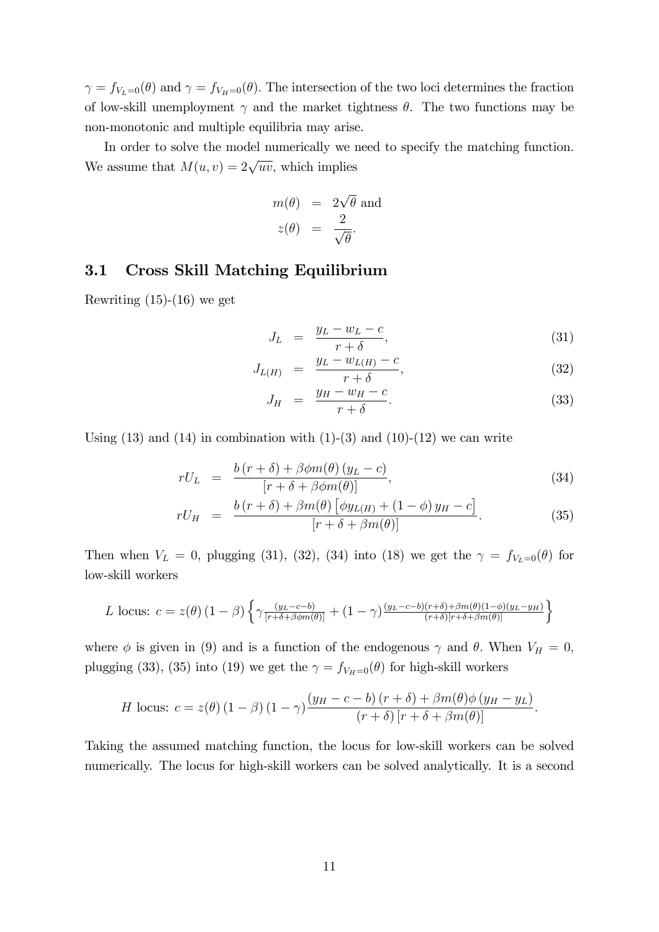$\gamma = f_{V_L=0}(\theta)$  and  $\gamma = f_{V_H=0}(\theta)$ . The intersection of the two loci determines the fraction of low-skill unemployment  $\gamma$  and the market tightness  $\theta$ . The two functions may be non-monotonic and multiple equilibria may arise.

In order to solve the model numerically we need to specify the matching function. We assume that  $M(u, v) = 2\sqrt{uv}$ , which implies

$$
m(\theta) = 2\sqrt{\theta} \text{ and}
$$
  

$$
z(\theta) = \frac{2}{\sqrt{\theta}}.
$$

#### 3.1 Cross Skill Matching Equilibrium

Rewriting  $(15)-(16)$  we get

$$
J_L = \frac{y_L - w_L - c}{r + \delta},\tag{31}
$$

$$
J_{L(H)} = \frac{y_L - w_{L(H)} - c}{r + \delta}, \tag{32}
$$

$$
J_H = \frac{y_H - w_H - c}{r + \delta}.
$$
\n(33)

Using  $(13)$  and  $(14)$  in combination with  $(1)-(3)$  and  $(10)-(12)$  we can write

$$
rU_L = \frac{b(r+\delta) + \beta \phi m(\theta) (y_L - c)}{[r+\delta + \beta \phi m(\theta)]},
$$
\n(34)

$$
rU_H = \frac{b(r+\delta) + \beta m(\theta) \left[ \phi y_{L(H)} + (1-\phi) y_H - c \right]}{[r+\delta + \beta m(\theta)]}.
$$
 (35)

Then when  $V_L = 0$ , plugging (31), (32), (34) into (18) we get the  $\gamma = f_{V_L=0}(\theta)$  for low-skill workers

L locus: 
$$
c = z(\theta) (1 - \beta) \left\{ \gamma \frac{(y_L - c - b)}{[r + \delta + \beta \phi m(\theta)]} + (1 - \gamma) \frac{(y_L - c - b)(r + \delta) + \beta m(\theta)(1 - \phi)(y_L - y_H)}{(r + \delta)[r + \delta + \beta m(\theta)]} \right\}
$$

where  $\phi$  is given in (9) and is a function of the endogenous  $\gamma$  and  $\theta$ . When  $V_H = 0$ , plugging (33), (35) into (19) we get the  $\gamma = f_{V_H=0}(\theta)$  for high-skill workers

H locus: 
$$
c = z(\theta) (1 - \beta) (1 - \gamma) \frac{(y_H - c - b)(r + \delta) + \beta m(\theta) \phi (y_H - y_L)}{(r + \delta) [r + \delta + \beta m(\theta)]}.
$$

Taking the assumed matching function, the locus for low-skill workers can be solved numerically. The locus for high-skill workers can be solved analytically. It is a second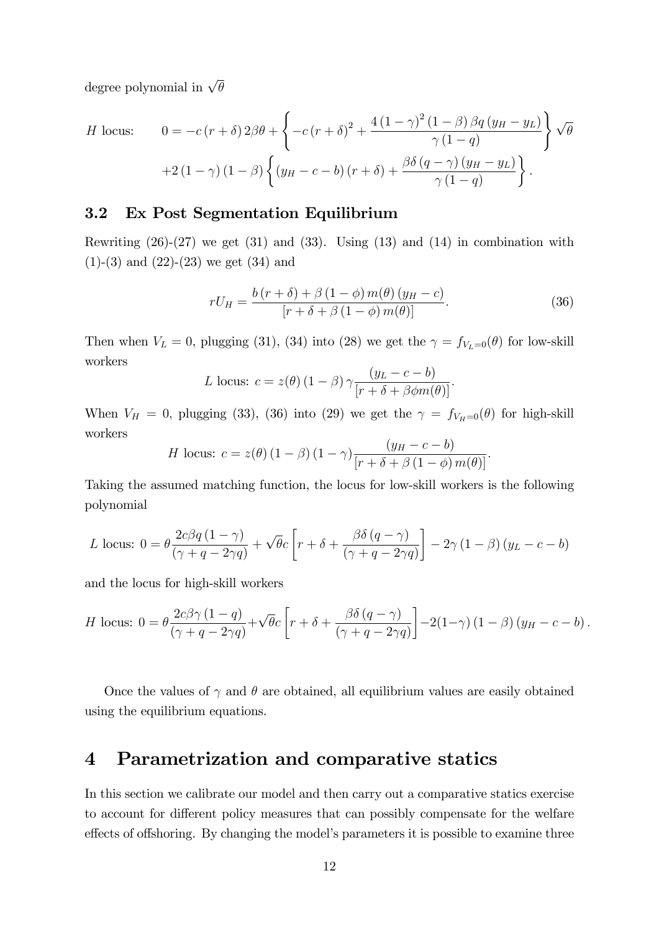degree polynomial in  $\sqrt{\theta}$ 

 $H$  locus

s: 
$$
0 = -c (r + \delta) 2\beta \theta + \left\{-c (r + \delta)^2 + \frac{4 (1 - \gamma)^2 (1 - \beta) \beta q (y_H - y_L)}{\gamma (1 - q)}\right\} \sqrt{\theta}
$$

$$
+ 2 (1 - \gamma) (1 - \beta) \left\{(y_H - c - b) (r + \delta) + \frac{\beta \delta (q - \gamma) (y_H - y_L)}{\gamma (1 - q)}\right\}.
$$

#### 3.2 Ex Post Segmentation Equilibrium

Rewriting  $(26)-(27)$  we get  $(31)$  and  $(33)$ . Using  $(13)$  and  $(14)$  in combination with  $(1)-(3)$  and  $(22)-(23)$  we get  $(34)$  and

$$
rU_H = \frac{b(r+\delta) + \beta(1-\phi)m(\theta)(y_H - c)}{[r+\delta+\beta(1-\phi)m(\theta)]}.
$$
 (36)

Then when  $V_L = 0$ , plugging (31), (34) into (28) we get the  $\gamma = f_{V_L=0}(\theta)$  for low-skill workers

L locus: 
$$
c = z(\theta) (1 - \beta) \gamma \frac{(y_L - c - b)}{[r + \delta + \beta \phi m(\theta)]}.
$$

When  $V_H = 0$ , plugging (33), (36) into (29) we get the  $\gamma = f_{V_H=0}(\theta)$  for high-skill workers

H locus: 
$$
c = z(\theta) (1 - \beta) (1 - \gamma) \frac{(y_H - c - b)}{[r + \delta + \beta (1 - \phi) m(\theta)]}.
$$

Taking the assumed matching function, the locus for low-skill workers is the following polynomial

L locus: 
$$
0 = \theta \frac{2c\beta q (1 - \gamma)}{(\gamma + q - 2\gamma q)} + \sqrt{\theta} c \left[ r + \delta + \frac{\beta \delta (q - \gamma)}{(\gamma + q - 2\gamma q)} \right] - 2\gamma (1 - \beta) (y_L - c - b)
$$

and the locus for high-skill workers

H locus: 
$$
0 = \theta \frac{2c\beta\gamma (1-q)}{(\gamma + q - 2\gamma q)} + \sqrt{\theta}c \left[ r + \delta + \frac{\beta\delta (q - \gamma)}{(\gamma + q - 2\gamma q)} \right] - 2(1-\gamma) (1-\beta) (y_H - c - b).
$$

Once the values of  $\gamma$  and  $\theta$  are obtained, all equilibrium values are easily obtained using the equilibrium equations.

# 4 Parametrization and comparative statics

In this section we calibrate our model and then carry out a comparative statics exercise to account for different policy measures that can possibly compensate for the welfare effects of offshoring. By changing the model's parameters it is possible to examine three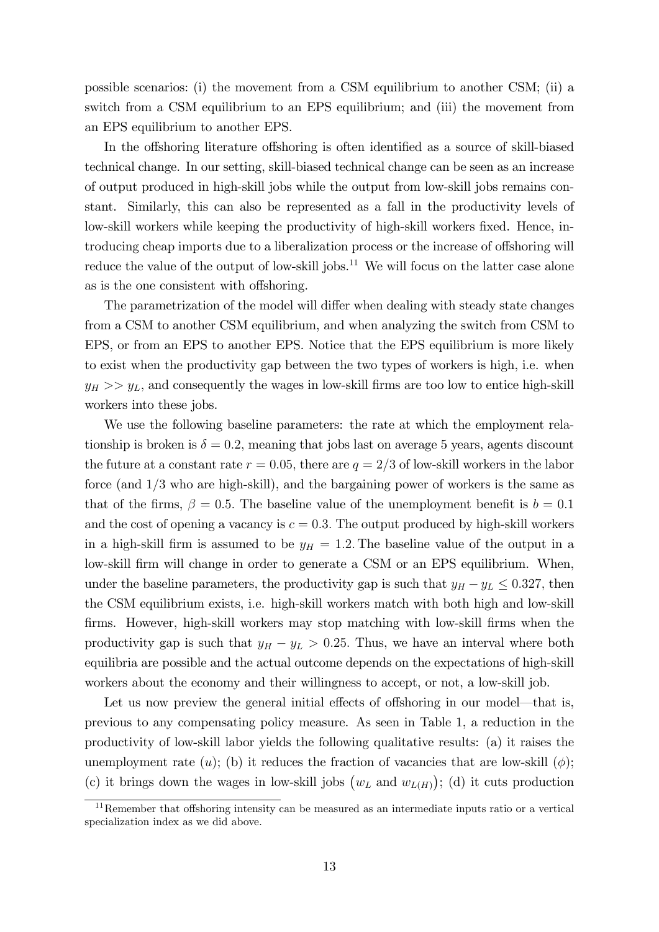possible scenarios: (i) the movement from a CSM equilibrium to another CSM; (ii) a switch from a CSM equilibrium to an EPS equilibrium; and (iii) the movement from an EPS equilibrium to another EPS.

In the offshoring literature of shoring is often identified as a source of skill-biased technical change. In our setting, skill-biased technical change can be seen as an increase of output produced in high-skill jobs while the output from low-skill jobs remains constant. Similarly, this can also be represented as a fall in the productivity levels of low-skill workers while keeping the productivity of high-skill workers fixed. Hence, introducing cheap imports due to a liberalization process or the increase of offshoring will reduce the value of the output of low-skill jobs.<sup>11</sup> We will focus on the latter case alone as is the one consistent with offshoring.

The parametrization of the model will differ when dealing with steady state changes from a CSM to another CSM equilibrium, and when analyzing the switch from CSM to EPS, or from an EPS to another EPS. Notice that the EPS equilibrium is more likely to exist when the productivity gap between the two types of workers is high, i.e. when  $y_H \gg y_L$ , and consequently the wages in low-skill firms are too low to entice high-skill workers into these jobs.

We use the following baseline parameters: the rate at which the employment relationship is broken is  $\delta = 0.2$ , meaning that jobs last on average 5 years, agents discount the future at a constant rate  $r = 0.05$ , there are  $q = 2/3$  of low-skill workers in the labor force (and  $1/3$  who are high-skill), and the bargaining power of workers is the same as that of the firms,  $\beta = 0.5$ . The baseline value of the unemployment benefit is  $b = 0.1$ and the cost of opening a vacancy is  $c = 0.3$ . The output produced by high-skill workers in a high-skill firm is assumed to be  $y_H = 1.2$ . The baseline value of the output in a low-skill firm will change in order to generate a CSM or an EPS equilibrium. When, under the baseline parameters, the productivity gap is such that  $y_H - y_L \leq 0.327$ , then the CSM equilibrium exists, i.e. high-skill workers match with both high and low-skill Örms. However, high-skill workers may stop matching with low-skill Örms when the productivity gap is such that  $y_H - y_L > 0.25$ . Thus, we have an interval where both equilibria are possible and the actual outcome depends on the expectations of high-skill workers about the economy and their willingness to accept, or not, a low-skill job.

Let us now preview the general initial effects of offshoring in our model—that is, previous to any compensating policy measure. As seen in Table 1, a reduction in the productivity of low-skill labor yields the following qualitative results: (a) it raises the unemployment rate (u); (b) it reduces the fraction of vacancies that are low-skill  $(\phi)$ ; (c) it brings down the wages in low-skill jobs  $(w_L \text{ and } w_{L(H)})$ ; (d) it cuts production

 $11$ Remember that offshoring intensity can be measured as an intermediate inputs ratio or a vertical specialization index as we did above.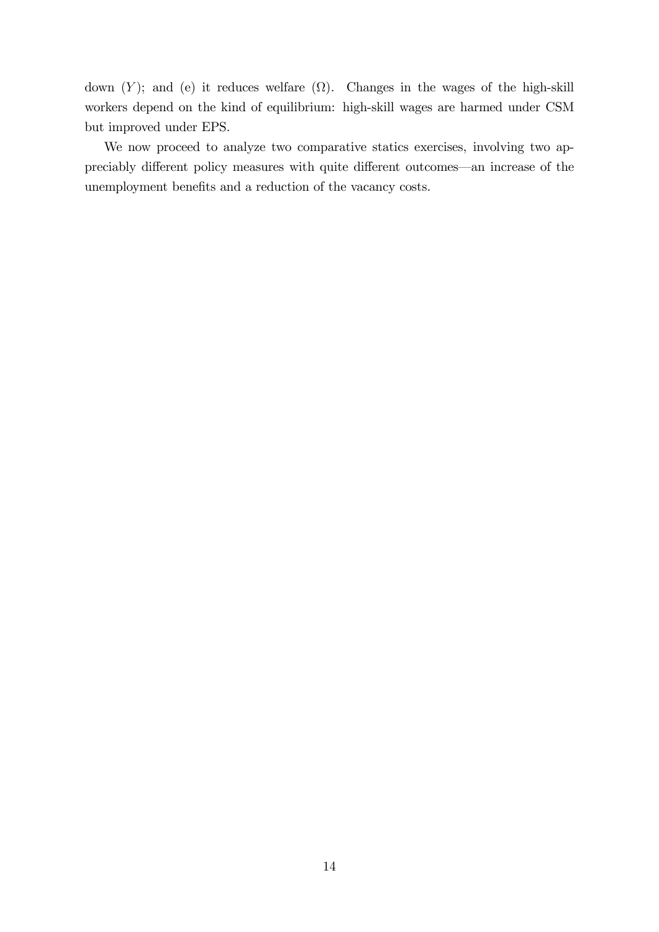down  $(Y)$ ; and (e) it reduces welfare  $(\Omega)$ . Changes in the wages of the high-skill workers depend on the kind of equilibrium: high-skill wages are harmed under CSM but improved under EPS.

We now proceed to analyze two comparative statics exercises, involving two appreciably different policy measures with quite different outcomes—an increase of the unemployment benefits and a reduction of the vacancy costs.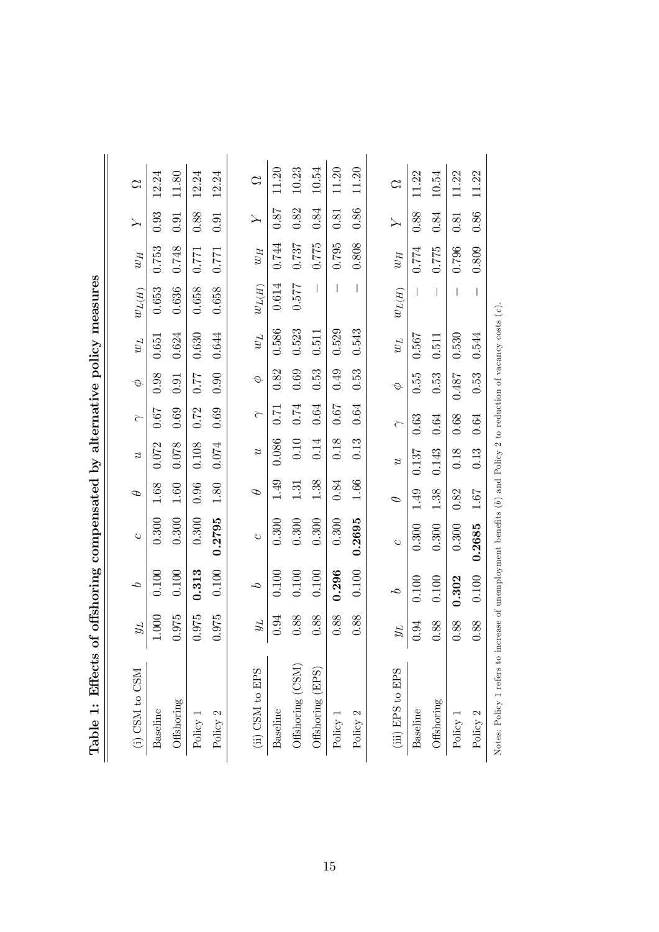| Lable 1: Ellecus                                                                                                     |                          |       | sexternal compensated by anternative poincy integrates |      |                  |              |        |            |                          |       |      |              |
|----------------------------------------------------------------------------------------------------------------------|--------------------------|-------|--------------------------------------------------------|------|------------------|--------------|--------|------------|--------------------------|-------|------|--------------|
|                                                                                                                      |                          |       |                                                        |      |                  |              |        |            |                          |       |      |              |
| (i) CSM to CSM                                                                                                       | $\tau_{\ell}$            | ς     | $\circ$                                                | Φ    | $\boldsymbol{y}$ | $\leq$       | $\phi$ | $\tau_m$   | $w_{L(H)}$               | $w_H$ | Υ    | $\mathbf{C}$ |
| Baseline                                                                                                             | 1.000                    | 0.100 | 0.300                                                  | 1.68 | 0.072            | 79.0         | 0.98   | 0.651      | 0.653                    | 0.753 | 0.93 | 12.24        |
| Offshoring                                                                                                           | 0.975                    | 0.100 | 0.300                                                  | 1.60 | 0.078            | 0.69         | 0.91   | 0.624      | 0.636                    | 0.748 | 0.91 | 11.80        |
| Policy 1                                                                                                             | 0.975                    | 0.313 | 0.300                                                  | 0.96 | 0.108            | 0.72         | 77.0   | 0.630      | 0.658                    | 1771  | 0.88 | 12.24        |
| Policy 2                                                                                                             | 0.975                    | 0.100 | 0.2795                                                 | 1.80 | $0.074\,$        | 0.69         | 0.90   | 0.644      | 0.658                    | 0.771 | 0.91 | 12.24        |
|                                                                                                                      |                          |       |                                                        |      |                  |              |        |            |                          |       |      |              |
| (ii) CSM to EPS                                                                                                      | $\mathcal{I}\mathcal{R}$ | ς     | $\circ$                                                | Φ    | $\boldsymbol{y}$ | $\leq$       | $\phi$ | $\tau_{m}$ | $w_{L(H)}$               | $w_H$ | Υ    | $\mathbf{C}$ |
| Baseline                                                                                                             | 0.94                     | 0.100 | 0.300                                                  | 1.49 | 0.086            | $0.71\,$     | 0.82   | 0.586      | 0.614                    | 0.744 | 0.87 | 11.20        |
| Offshoring (CSM)                                                                                                     | 0.88                     | 0.100 | 0.300                                                  | 1.31 | 0.10             | 0.74         | 0.69   | 0.523      | 0.577                    | 0.787 | 0.82 | 10.23        |
| Offshoring (EPS)                                                                                                     | 0.88                     | 0.100 | 0.300                                                  | 1.38 | 0.14             | 0.64         | 0.53   | 0.511      | $\overline{\phantom{a}}$ | 0.775 | 0.84 | 10.54        |
| Policy 1                                                                                                             | 0.88                     | 0.296 | 0.300                                                  | 0.84 | 0.18             | $\sqrt{2.0}$ | 0.49   | 0.529      | $\overline{\phantom{a}}$ | 0.795 | 0.81 | 11.20        |
| Policy 2                                                                                                             | 0.88                     | 0.100 | 0.2695                                                 | 1.66 | 0.13             | 0.64         | 0.53   | 0.543      | $\overline{\phantom{a}}$ | 0.808 | 0.86 | 11.20        |
|                                                                                                                      |                          |       |                                                        |      |                  |              |        |            |                          |       |      |              |
| (iii) EPS to EPS                                                                                                     | $\tau_{\hat{R}}$         | ς     | $\circ$                                                | Ф    | $\boldsymbol{y}$ | $\leq$       | $\phi$ | $\tau_{m}$ | $w_{L(H)}$               | $w_H$ | Υ    | $\mathbf{C}$ |
| Baseline                                                                                                             | 0.94                     | 0.100 | 0.300                                                  | 1.49 | 0.137            | 0.63         | 0.55   | 0.567      |                          | 0.774 | 0.88 | 11.22        |
| Offshoring                                                                                                           | 0.88                     | 0.100 | 0.300                                                  | 1.38 | 0.143            | 0.64         | 0.53   | 0.511      | $\overline{\phantom{a}}$ | 0.775 | 0.84 | 10.54        |
| Policy 1                                                                                                             | 0.88                     | 0.302 | 0.300                                                  | 0.82 | 0.18             | 0.68         | 0.487  | 0.530      | $\overline{\phantom{a}}$ | 0.796 | 0.81 | 11.22        |
| Policy 2                                                                                                             | 0.88                     | 0.100 | 0.2685                                                 | 1.67 | 0.13             | 0.64         | 0.53   | 0.544      | $\overline{\phantom{a}}$ | 0.809 | 0.86 | 11.22        |
| Notes: Policy 1 refers to increase of unemployment benefits $(b)$ and Policy 2 to reduction of vacancy costs $(c)$ . |                          |       |                                                        |      |                  |              |        |            |                          |       |      |              |

Table 1: Effects of offshoring compensated by alternative policy measures  $\ddot{\cdot}$  $-1.2$  $\frac{1}{2}$  $\overline{\mathbf{1}}$ Table 1:  $\mathbb{F}^{H}$ ots of effetering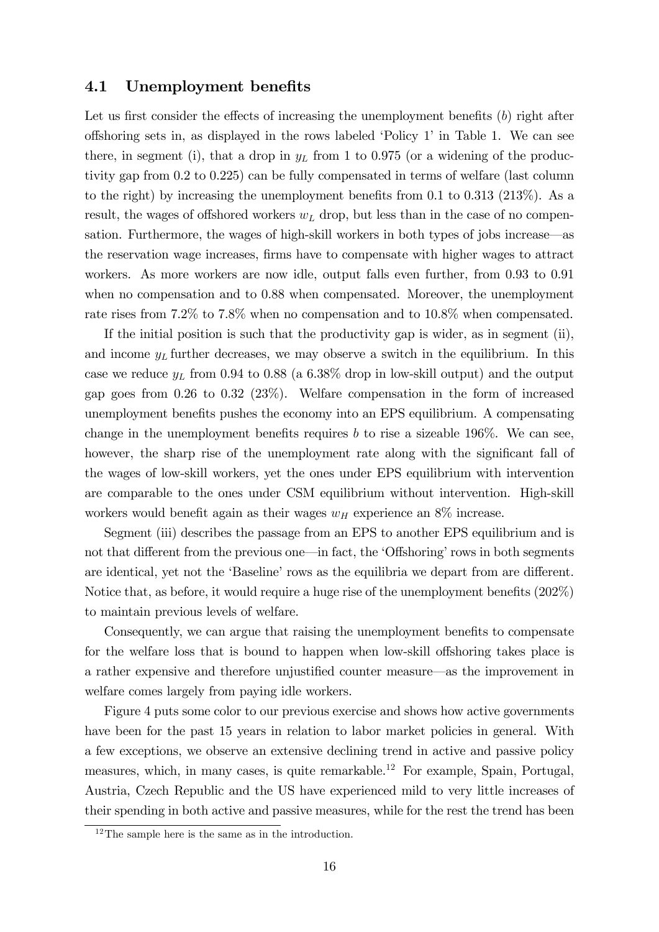#### 4.1 Unemployment benefits

Let us first consider the effects of increasing the unemployment benefits  $(b)$  right after offshoring sets in, as displayed in the rows labeled 'Policy  $1'$  in Table 1. We can see there, in segment (i), that a drop in  $y_L$  from 1 to 0.975 (or a widening of the productivity gap from 0.2 to 0.225) can be fully compensated in terms of welfare (last column to the right) by increasing the unemployment benefits from  $0.1$  to  $0.313$   $(213%)$ . As a result, the wages of offshored workers  $w<sub>L</sub>$  drop, but less than in the case of no compensation. Furthermore, the wages of high-skill workers in both types of jobs increase—as the reservation wage increases, firms have to compensate with higher wages to attract workers. As more workers are now idle, output falls even further, from 0.93 to 0.91 when no compensation and to  $0.88$  when compensated. Moreover, the unemployment rate rises from 7.2% to 7.8% when no compensation and to 10.8% when compensated.

If the initial position is such that the productivity gap is wider, as in segment (ii), and income  $y<sub>L</sub>$  further decreases, we may observe a switch in the equilibrium. In this case we reduce  $y_L$  from 0.94 to 0.88 (a 6.38% drop in low-skill output) and the output gap goes from 0.26 to 0.32 (23%). Welfare compensation in the form of increased unemployment benefits pushes the economy into an EPS equilibrium. A compensating change in the unemployment benefits requires b to rise a sizeable  $196\%$ . We can see, however, the sharp rise of the unemployment rate along with the significant fall of the wages of low-skill workers, yet the ones under EPS equilibrium with intervention are comparable to the ones under CSM equilibrium without intervention. High-skill workers would benefit again as their wages  $w_H$  experience an  $8\%$  increase.

Segment (iii) describes the passage from an EPS to another EPS equilibrium and is not that different from the previous one—in fact, the 'Offshoring' rows in both segments are identical, yet not the 'Baseline' rows as the equilibria we depart from are different. Notice that, as before, it would require a huge rise of the unemployment benefits  $(202\%)$ to maintain previous levels of welfare.

Consequently, we can argue that raising the unemployment benefits to compensate for the welfare loss that is bound to happen when low-skill offshoring takes place is a rather expensive and therefore unjustified counter measure—as the improvement in welfare comes largely from paying idle workers.

Figure 4 puts some color to our previous exercise and shows how active governments have been for the past 15 years in relation to labor market policies in general. With a few exceptions, we observe an extensive declining trend in active and passive policy measures, which, in many cases, is quite remarkable.<sup>12</sup> For example, Spain, Portugal, Austria, Czech Republic and the US have experienced mild to very little increases of their spending in both active and passive measures, while for the rest the trend has been

 $12$ The sample here is the same as in the introduction.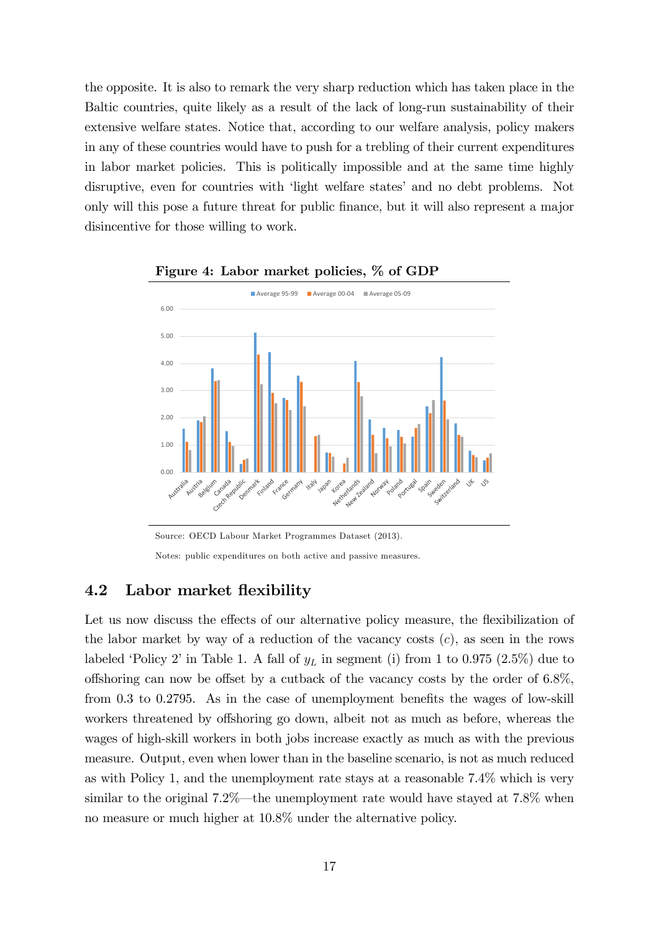the opposite. It is also to remark the very sharp reduction which has taken place in the Baltic countries, quite likely as a result of the lack of long-run sustainability of their extensive welfare states. Notice that, according to our welfare analysis, policy makers in any of these countries would have to push for a trebling of their current expenditures in labor market policies. This is politically impossible and at the same time highly disruptive, even for countries with 'light welfare states' and no debt problems. Not only will this pose a future threat for public Önance, but it will also represent a major disincentive for those willing to work.



Figure 4: Labor market policies, % of GDP

#### 4.2 Labor market flexibility

Let us now discuss the effects of our alternative policy measure, the flexibilization of the labor market by way of a reduction of the vacancy costs  $(c)$ , as seen in the rows labeled 'Policy 2' in Table 1. A fall of  $y_L$  in segment (i) from 1 to 0.975 (2.5%) due to offshoring can now be offset by a cutback of the vacancy costs by the order of  $6.8\%$ , from  $0.3$  to  $0.2795$ . As in the case of unemployment benefits the wages of low-skill workers threatened by offshoring go down, albeit not as much as before, whereas the wages of high-skill workers in both jobs increase exactly as much as with the previous measure. Output, even when lower than in the baseline scenario, is not as much reduced as with Policy 1, and the unemployment rate stays at a reasonable 7.4% which is very similar to the original  $7.2\%$ —the unemployment rate would have stayed at  $7.8\%$  when no measure or much higher at 10.8% under the alternative policy.

Source: OECD Labour Market Programmes Dataset (2013). Notes: public expenditures on both active and passive measures.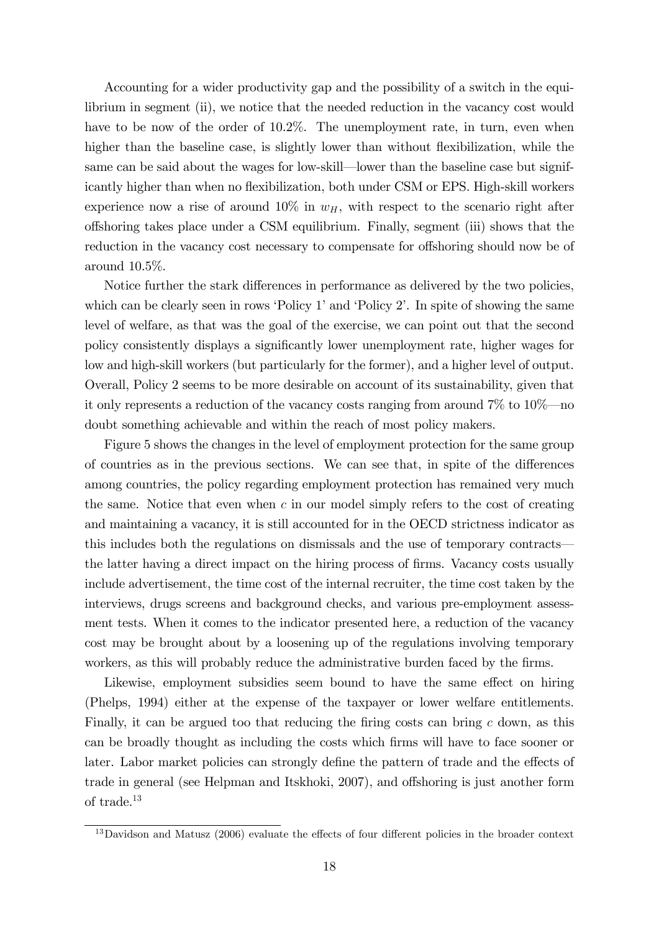Accounting for a wider productivity gap and the possibility of a switch in the equilibrium in segment (ii), we notice that the needed reduction in the vacancy cost would have to be now of the order of 10.2%. The unemployment rate, in turn, even when higher than the baseline case, is slightly lower than without flexibilization, while the same can be said about the wages for low-skill—lower than the baseline case but significantly higher than when no flexibilization, both under CSM or EPS. High-skill workers experience now a rise of around  $10\%$  in  $w_H$ , with respect to the scenario right after o§shoring takes place under a CSM equilibrium. Finally, segment (iii) shows that the reduction in the vacancy cost necessary to compensate for offshoring should now be of around 10.5%.

Notice further the stark differences in performance as delivered by the two policies, which can be clearly seen in rows 'Policy  $1'$  and 'Policy  $2'$ . In spite of showing the same level of welfare, as that was the goal of the exercise, we can point out that the second policy consistently displays a significantly lower unemployment rate, higher wages for low and high-skill workers (but particularly for the former), and a higher level of output. Overall, Policy 2 seems to be more desirable on account of its sustainability, given that it only represents a reduction of the vacancy costs ranging from around  $7\%$  to  $10\%$ —no doubt something achievable and within the reach of most policy makers.

Figure 5 shows the changes in the level of employment protection for the same group of countries as in the previous sections. We can see that, in spite of the differences among countries, the policy regarding employment protection has remained very much the same. Notice that even when  $c$  in our model simply refers to the cost of creating and maintaining a vacancy, it is still accounted for in the OECD strictness indicator as this includes both the regulations on dismissals and the use of temporary contracts the latter having a direct impact on the hiring process of firms. Vacancy costs usually include advertisement, the time cost of the internal recruiter, the time cost taken by the interviews, drugs screens and background checks, and various pre-employment assessment tests. When it comes to the indicator presented here, a reduction of the vacancy cost may be brought about by a loosening up of the regulations involving temporary workers, as this will probably reduce the administrative burden faced by the firms.

Likewise, employment subsidies seem bound to have the same effect on hiring (Phelps, 1994) either at the expense of the taxpayer or lower welfare entitlements. Finally, it can be argued too that reducing the firing costs can bring  $c$  down, as this can be broadly thought as including the costs which Örms will have to face sooner or later. Labor market policies can strongly define the pattern of trade and the effects of trade in general (see Helpman and Itskhoki, 2007), and offshoring is just another form of trade.<sup>13</sup>

 $13$ Davidson and Matusz (2006) evaluate the effects of four different policies in the broader context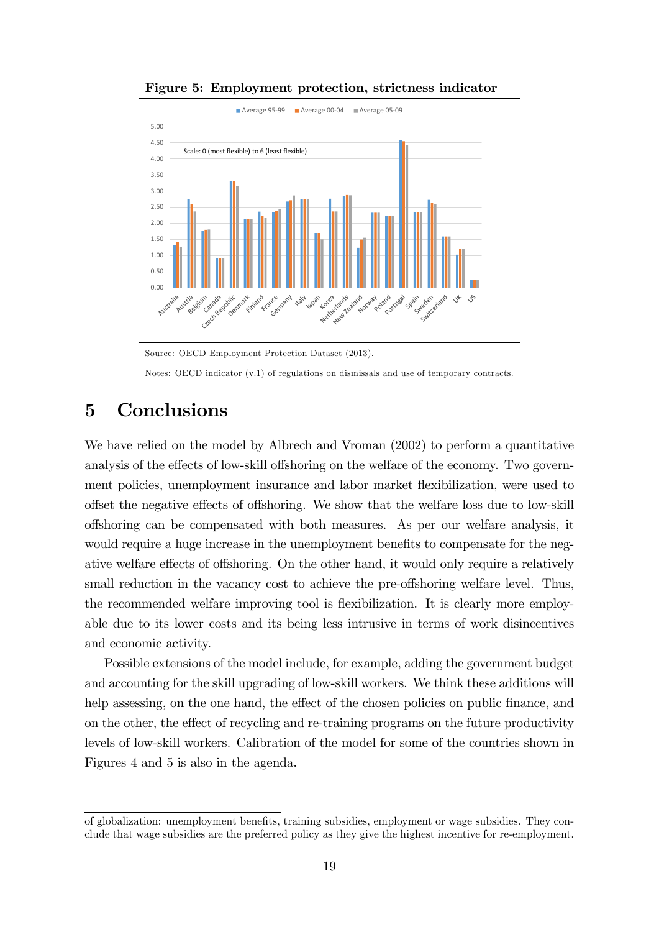

Figure 5: Employment protection, strictness indicator

Notes: OECD indicator (v.1) of regulations on dismissals and use of temporary contracts.

# 5 Conclusions

We have relied on the model by Albrech and Vroman  $(2002)$  to perform a quantitative analysis of the effects of low-skill offshoring on the welfare of the economy. Two government policies, unemployment insurance and labor market flexibilization, were used to offset the negative effects of offshoring. We show that the welfare loss due to low-skill o§shoring can be compensated with both measures. As per our welfare analysis, it would require a huge increase in the unemployment benefits to compensate for the negative welfare effects of offshoring. On the other hand, it would only require a relatively small reduction in the vacancy cost to achieve the pre-offshoring welfare level. Thus, the recommended welfare improving tool is flexibilization. It is clearly more employable due to its lower costs and its being less intrusive in terms of work disincentives and economic activity.

Possible extensions of the model include, for example, adding the government budget and accounting for the skill upgrading of low-skill workers. We think these additions will help assessing, on the one hand, the effect of the chosen policies on public finance, and on the other, the effect of recycling and re-training programs on the future productivity levels of low-skill workers. Calibration of the model for some of the countries shown in Figures 4 and 5 is also in the agenda.

Source: OECD Employment Protection Dataset (2013).

of globalization: unemployment benefits, training subsidies, employment or wage subsidies. They conclude that wage subsidies are the preferred policy as they give the highest incentive for re-employment.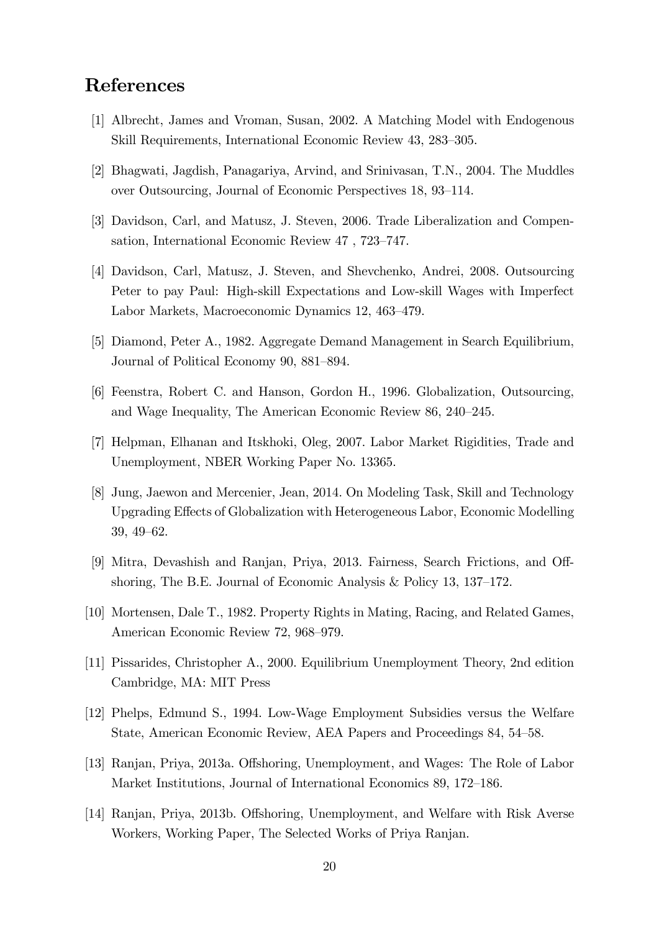# References

- [1] Albrecht, James and Vroman, Susan, 2002. A Matching Model with Endogenous Skill Requirements, International Economic Review 43, 283–305.
- [2] Bhagwati, Jagdish, Panagariya, Arvind, and Srinivasan, T.N., 2004. The Muddles over Outsourcing, Journal of Economic Perspectives 18, 93–114.
- [3] Davidson, Carl, and Matusz, J. Steven, 2006. Trade Liberalization and Compensation, International Economic Review 47, 723-747.
- [4] Davidson, Carl, Matusz, J. Steven, and Shevchenko, Andrei, 2008. Outsourcing Peter to pay Paul: High-skill Expectations and Low-skill Wages with Imperfect Labor Markets, Macroeconomic Dynamics 12, 463–479.
- [5] Diamond, Peter A., 1982. Aggregate Demand Management in Search Equilibrium, Journal of Political Economy 90, 881–894.
- [6] Feenstra, Robert C. and Hanson, Gordon H., 1996. Globalization, Outsourcing, and Wage Inequality, The American Economic Review 86, 240–245.
- [7] Helpman, Elhanan and Itskhoki, Oleg, 2007. Labor Market Rigidities, Trade and Unemployment, NBER Working Paper No. 13365.
- [8] Jung, Jaewon and Mercenier, Jean, 2014. On Modeling Task, Skill and Technology Upgrading Effects of Globalization with Heterogeneous Labor, Economic Modelling 39, 49-62.
- [9] Mitra, Devashish and Ranjan, Priya, 2013. Fairness, Search Frictions, and Offshoring, The B.E. Journal of Economic Analysis  $\&$  Policy 13, 137–172.
- [10] Mortensen, Dale T., 1982. Property Rights in Mating, Racing, and Related Games, American Economic Review 72, 968–979.
- [11] Pissarides, Christopher A., 2000. Equilibrium Unemployment Theory, 2nd edition Cambridge, MA: MIT Press
- [12] Phelps, Edmund S., 1994. Low-Wage Employment Subsidies versus the Welfare State, American Economic Review, AEA Papers and Proceedings 84, 54–58.
- [13] Ranjan, Priya, 2013a. Offshoring, Unemployment, and Wages: The Role of Labor Market Institutions, Journal of International Economics 89, 172–186.
- [14] Ranjan, Priya, 2013b. Offshoring, Unemployment, and Welfare with Risk Averse Workers, Working Paper, The Selected Works of Priya Ranjan.